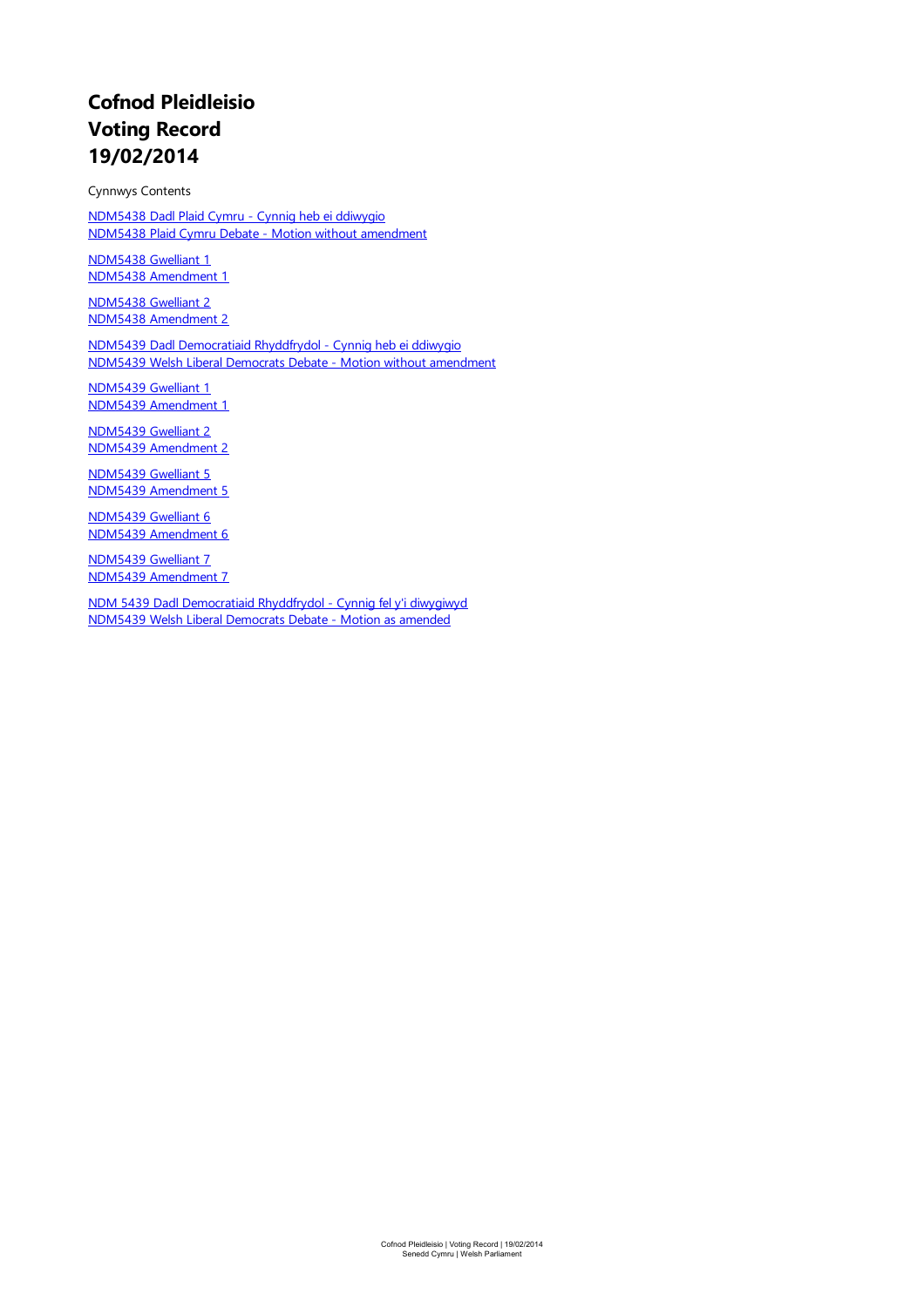# **Cofnod Pleidleisio Voting Record 19/02/2014**

Cynnwys Contents

[NDM5438](#page-1-0) Dadl Plaid Cymru - Cynnig heb ei ddiwygio NDM5438 Plaid Cymru Debate- Motion without [amendment](#page-1-0)

[NDM5438](#page-3-0) Gwelliant 1 NDM5438 [Amendment](#page-3-0) 1

[NDM5438](#page-4-0) Gwelliant 2 NDM5438 [Amendment](#page-4-0) 2

NDM5439 Dadl [Democratiaid](#page-5-0) Rhyddfrydol - Cynnig heb ei ddiwygio NDM5439 Welsh Liberal Democrats Debate- Motion without [amendment](#page-5-0)

[NDM5439](#page-6-0) Gwelliant 1 NDM5439 [Amendment](#page-6-0) 1

[NDM5439](#page-7-0) Gwelliant 2 NDM5439 [Amendment](#page-7-0) 2

[NDM5439](#page-8-0) Gwelliant 5 NDM5439 [Amendment](#page-8-0) 5

[NDM5439](#page-9-0) Gwelliant 6 NDM5439 [Amendment](#page-9-0) 6

[NDM5439](#page-10-0) Gwelliant 7 NDM5439 [Amendment](#page-10-0) 7

NDM 5439 Dadl [Democratiaid](#page-12-0) Rhyddfrydol - Cynnig fel y'i diwygiwyd NDM5439 Welsh Liberal [Democrats](#page-12-0) Debate- Motion as amended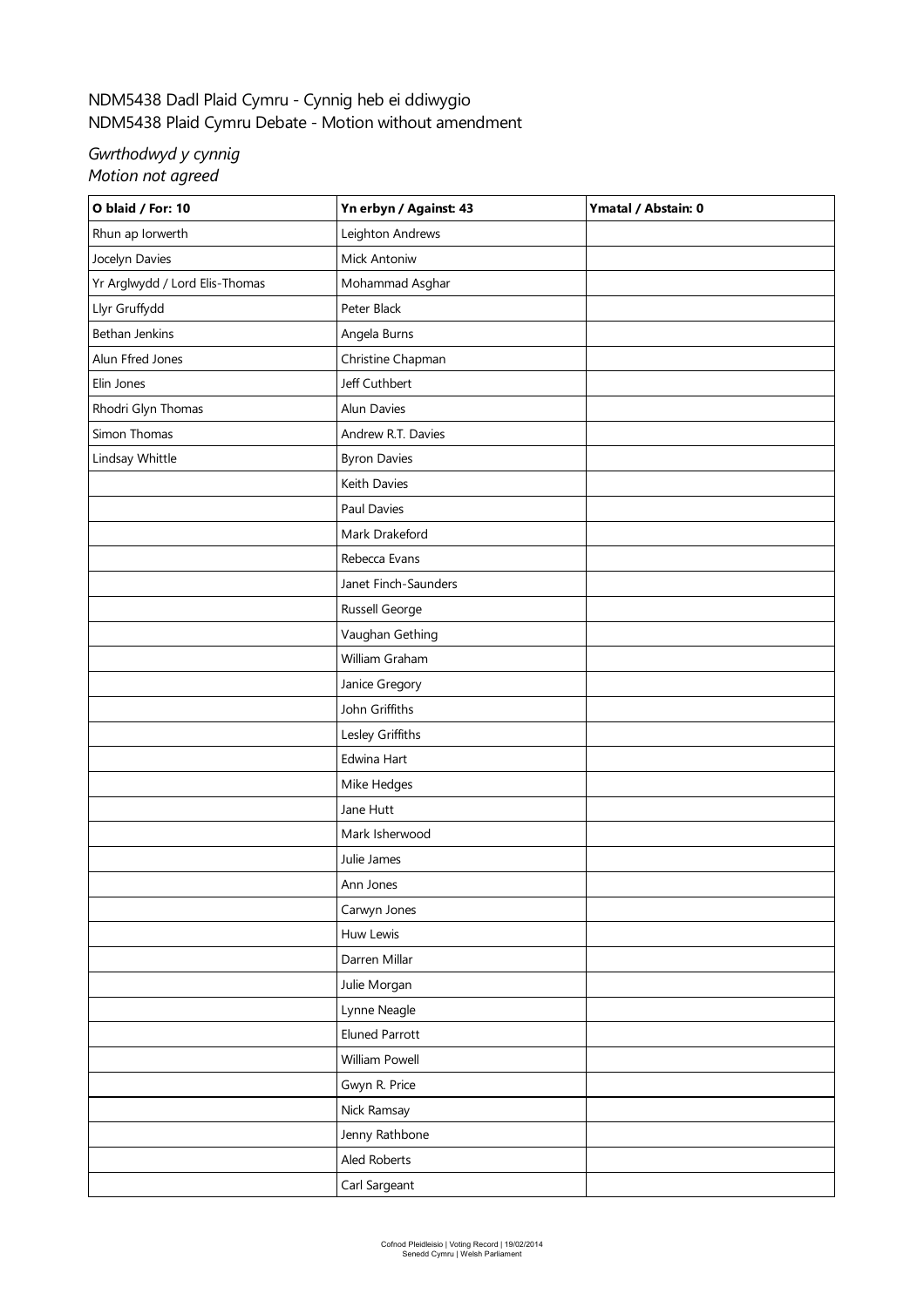# <span id="page-1-0"></span>NDM5438 Dadl Plaid Cymru - Cynnig heb ei ddiwygio NDM5438 Plaid Cymru Debate- Motion withoutamendment

#### *Gwrthodwyd y cynnig Motion not agreed*

| O blaid / For: 10              | Yn erbyn / Against: 43 | Ymatal / Abstain: 0 |
|--------------------------------|------------------------|---------------------|
| Rhun ap Iorwerth               | Leighton Andrews       |                     |
| Jocelyn Davies                 | Mick Antoniw           |                     |
| Yr Arglwydd / Lord Elis-Thomas | Mohammad Asghar        |                     |
| Llyr Gruffydd                  | Peter Black            |                     |
| Bethan Jenkins                 | Angela Burns           |                     |
| Alun Ffred Jones               | Christine Chapman      |                     |
| Elin Jones                     | Jeff Cuthbert          |                     |
| Rhodri Glyn Thomas             | Alun Davies            |                     |
| Simon Thomas                   | Andrew R.T. Davies     |                     |
| Lindsay Whittle                | <b>Byron Davies</b>    |                     |
|                                | Keith Davies           |                     |
|                                | Paul Davies            |                     |
|                                | Mark Drakeford         |                     |
|                                | Rebecca Evans          |                     |
|                                | Janet Finch-Saunders   |                     |
|                                | Russell George         |                     |
|                                | Vaughan Gething        |                     |
|                                | William Graham         |                     |
|                                | Janice Gregory         |                     |
|                                | John Griffiths         |                     |
|                                | Lesley Griffiths       |                     |
|                                | Edwina Hart            |                     |
|                                | Mike Hedges            |                     |
|                                | Jane Hutt              |                     |
|                                | Mark Isherwood         |                     |
|                                | Julie James            |                     |
|                                | Ann Jones              |                     |
|                                | Carwyn Jones           |                     |
|                                | Huw Lewis              |                     |
|                                | Darren Millar          |                     |
|                                | Julie Morgan           |                     |
|                                | Lynne Neagle           |                     |
|                                | <b>Eluned Parrott</b>  |                     |
|                                | William Powell         |                     |
|                                | Gwyn R. Price          |                     |
|                                | Nick Ramsay            |                     |
|                                | Jenny Rathbone         |                     |
|                                | Aled Roberts           |                     |
|                                | Carl Sargeant          |                     |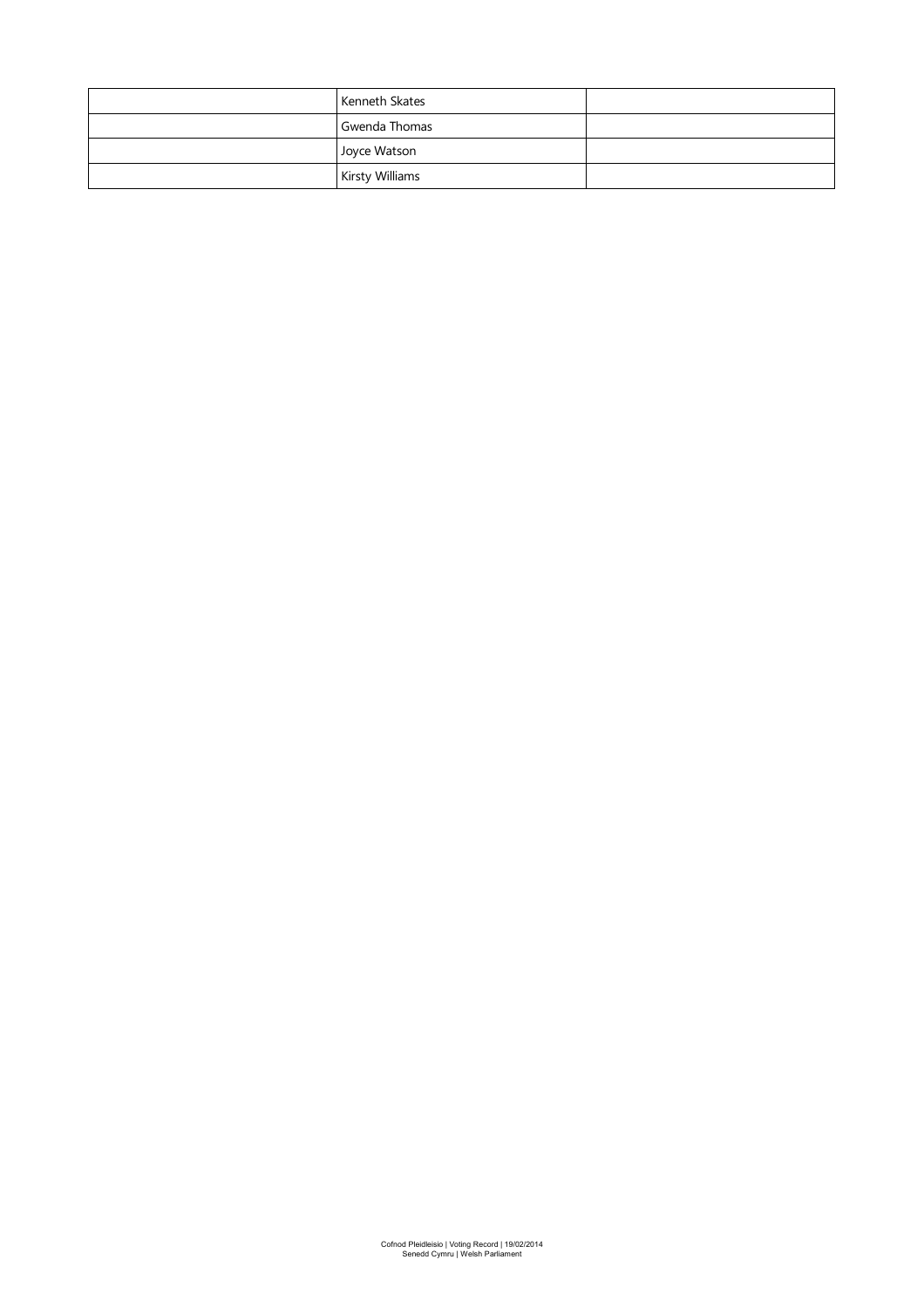| Kenneth Skates         |  |
|------------------------|--|
| Gwenda Thomas          |  |
| Joyce Watson           |  |
| <b>Kirsty Williams</b> |  |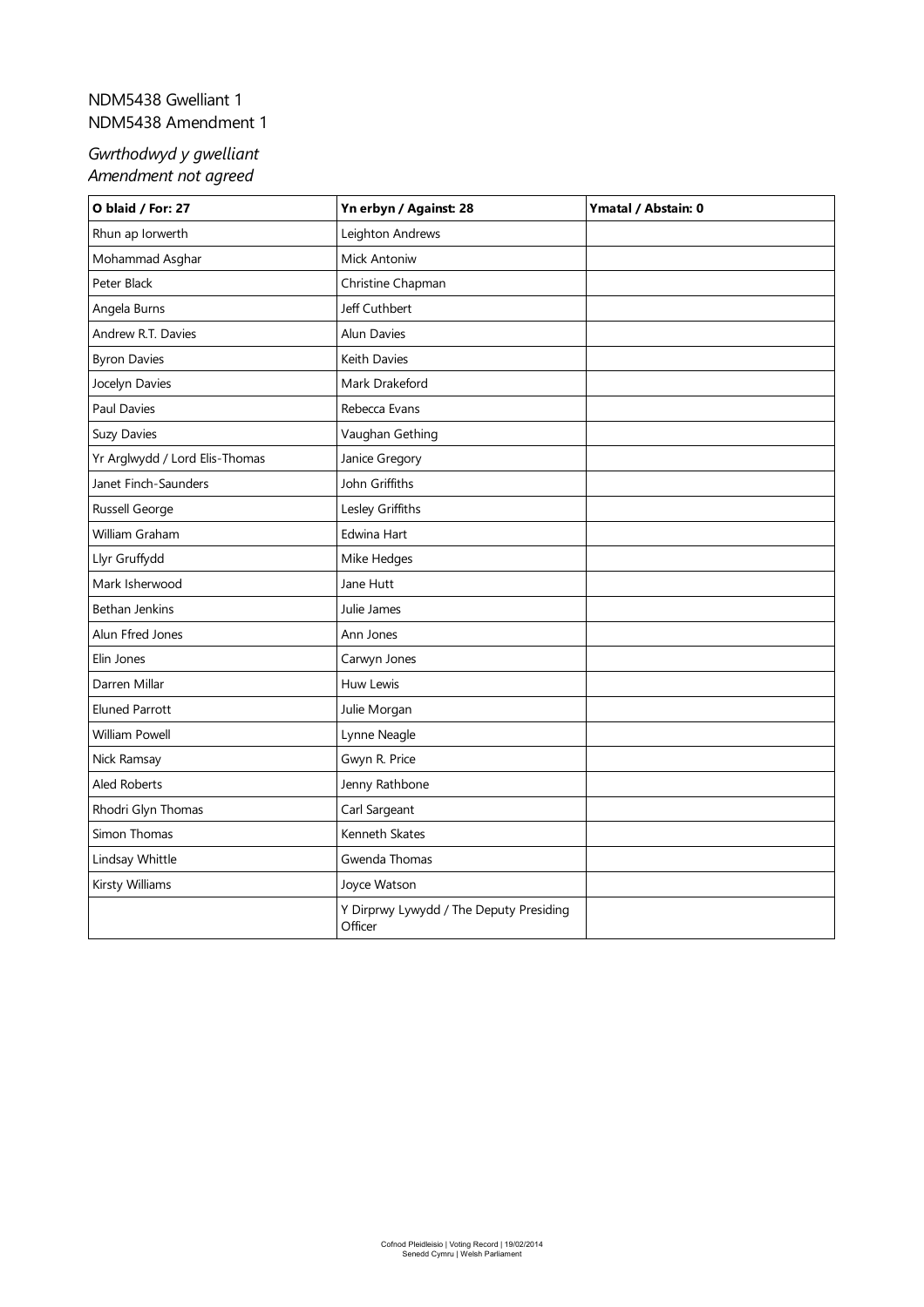#### <span id="page-3-0"></span>NDM5438 Gwelliant 1 NDM5438 Amendment 1

## *Gwrthodwyd y gwelliant Amendment not agreed*

| O blaid / For: 27              | Yn erbyn / Against: 28                             | Ymatal / Abstain: 0 |
|--------------------------------|----------------------------------------------------|---------------------|
| Rhun ap Iorwerth               | Leighton Andrews                                   |                     |
| Mohammad Asghar                | Mick Antoniw                                       |                     |
| Peter Black                    | Christine Chapman                                  |                     |
| Angela Burns                   | Jeff Cuthbert                                      |                     |
| Andrew R.T. Davies             | Alun Davies                                        |                     |
| <b>Byron Davies</b>            | Keith Davies                                       |                     |
| Jocelyn Davies                 | Mark Drakeford                                     |                     |
| Paul Davies                    | Rebecca Evans                                      |                     |
| <b>Suzy Davies</b>             | Vaughan Gething                                    |                     |
| Yr Arglwydd / Lord Elis-Thomas | Janice Gregory                                     |                     |
| Janet Finch-Saunders           | John Griffiths                                     |                     |
| Russell George                 | Lesley Griffiths                                   |                     |
| William Graham                 | Edwina Hart                                        |                     |
| Llyr Gruffydd                  | Mike Hedges                                        |                     |
| Mark Isherwood                 | Jane Hutt                                          |                     |
| Bethan Jenkins                 | Julie James                                        |                     |
| Alun Ffred Jones               | Ann Jones                                          |                     |
| Elin Jones                     | Carwyn Jones                                       |                     |
| Darren Millar                  | Huw Lewis                                          |                     |
| <b>Eluned Parrott</b>          | Julie Morgan                                       |                     |
| William Powell                 | Lynne Neagle                                       |                     |
| Nick Ramsay                    | Gwyn R. Price                                      |                     |
| <b>Aled Roberts</b>            | Jenny Rathbone                                     |                     |
| Rhodri Glyn Thomas             | Carl Sargeant                                      |                     |
| Simon Thomas                   | Kenneth Skates                                     |                     |
| Lindsay Whittle                | Gwenda Thomas                                      |                     |
| Kirsty Williams                | Joyce Watson                                       |                     |
|                                | Y Dirprwy Lywydd / The Deputy Presiding<br>Officer |                     |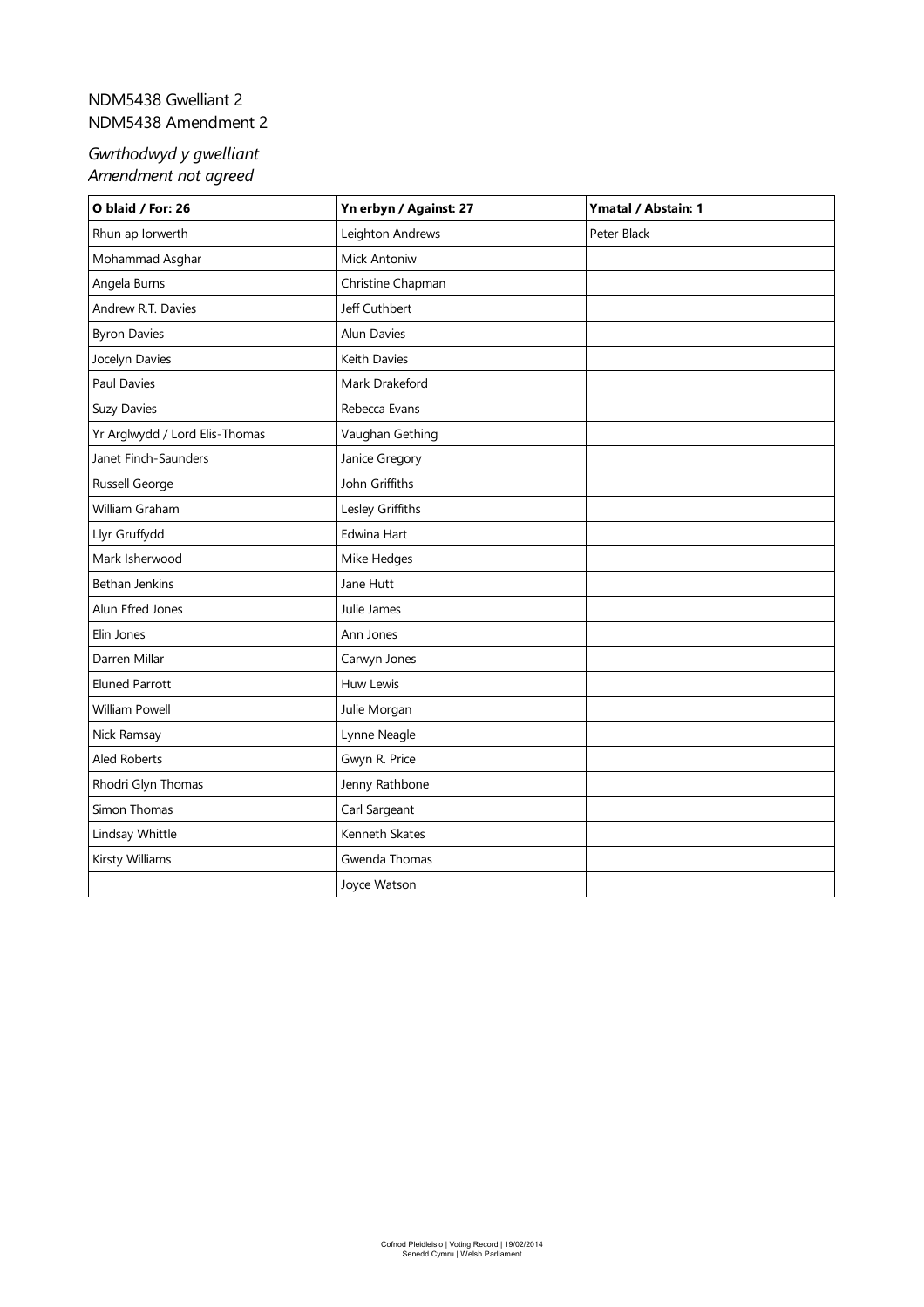## <span id="page-4-0"></span>NDM5438 Gwelliant 2 NDM5438 Amendment 2

## *Gwrthodwyd y gwelliant Amendment not agreed*

| O blaid / For: 26              | Yn erbyn / Against: 27 | Ymatal / Abstain: 1 |
|--------------------------------|------------------------|---------------------|
| Rhun ap Iorwerth               | Leighton Andrews       | Peter Black         |
| Mohammad Asghar                | Mick Antoniw           |                     |
| Angela Burns                   | Christine Chapman      |                     |
| Andrew R.T. Davies             | Jeff Cuthbert          |                     |
| <b>Byron Davies</b>            | Alun Davies            |                     |
| Jocelyn Davies                 | Keith Davies           |                     |
| <b>Paul Davies</b>             | Mark Drakeford         |                     |
| <b>Suzy Davies</b>             | Rebecca Evans          |                     |
| Yr Arglwydd / Lord Elis-Thomas | Vaughan Gething        |                     |
| Janet Finch-Saunders           | Janice Gregory         |                     |
| Russell George                 | John Griffiths         |                     |
| William Graham                 | Lesley Griffiths       |                     |
| Llyr Gruffydd                  | Edwina Hart            |                     |
| Mark Isherwood                 | Mike Hedges            |                     |
| <b>Bethan Jenkins</b>          | Jane Hutt              |                     |
| Alun Ffred Jones               | Julie James            |                     |
| Elin Jones                     | Ann Jones              |                     |
| Darren Millar                  | Carwyn Jones           |                     |
| <b>Eluned Parrott</b>          | Huw Lewis              |                     |
| <b>William Powell</b>          | Julie Morgan           |                     |
| Nick Ramsay                    | Lynne Neagle           |                     |
| Aled Roberts                   | Gwyn R. Price          |                     |
| Rhodri Glyn Thomas             | Jenny Rathbone         |                     |
| Simon Thomas                   | Carl Sargeant          |                     |
| Lindsay Whittle                | Kenneth Skates         |                     |
| Kirsty Williams                | Gwenda Thomas          |                     |
|                                | Joyce Watson           |                     |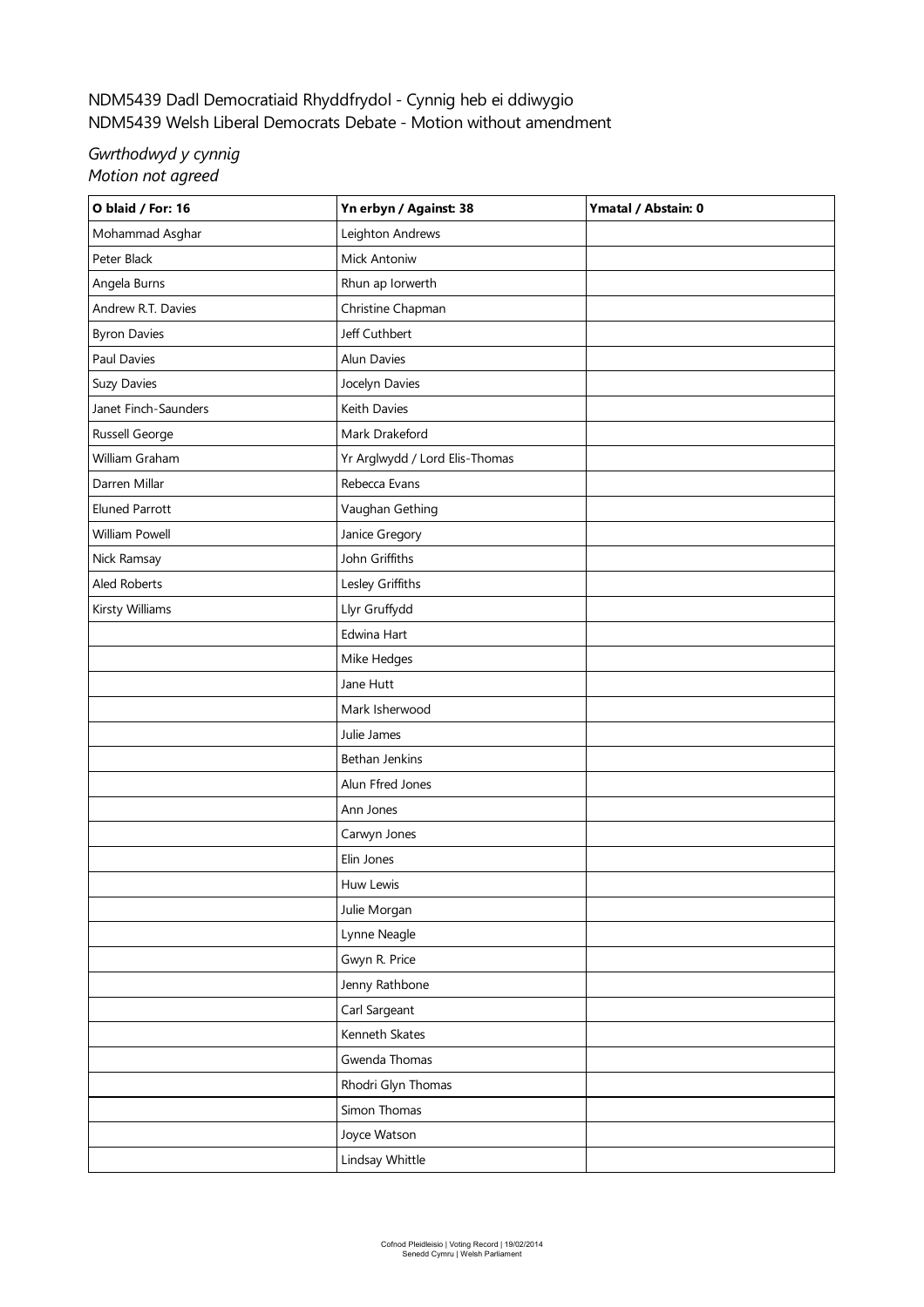# <span id="page-5-0"></span>NDM5439 Dadl Democratiaid Rhyddfrydol - Cynnig heb ei ddiwygio NDM5439 Welsh Liberal Democrats Debate- Motion withoutamendment

#### *Gwrthodwyd y cynnig Motion not agreed*

| O blaid / For: 16     | Yn erbyn / Against: 38         | Ymatal / Abstain: 0 |
|-----------------------|--------------------------------|---------------------|
| Mohammad Asghar       | Leighton Andrews               |                     |
| Peter Black           | Mick Antoniw                   |                     |
| Angela Burns          | Rhun ap Iorwerth               |                     |
| Andrew R.T. Davies    | Christine Chapman              |                     |
| <b>Byron Davies</b>   | Jeff Cuthbert                  |                     |
| Paul Davies           | Alun Davies                    |                     |
| <b>Suzy Davies</b>    | Jocelyn Davies                 |                     |
| Janet Finch-Saunders  | Keith Davies                   |                     |
| Russell George        | Mark Drakeford                 |                     |
| William Graham        | Yr Arglwydd / Lord Elis-Thomas |                     |
| Darren Millar         | Rebecca Evans                  |                     |
| <b>Eluned Parrott</b> | Vaughan Gething                |                     |
| William Powell        | Janice Gregory                 |                     |
| Nick Ramsay           | John Griffiths                 |                     |
| Aled Roberts          | Lesley Griffiths               |                     |
| Kirsty Williams       | Llyr Gruffydd                  |                     |
|                       | Edwina Hart                    |                     |
|                       | Mike Hedges                    |                     |
|                       | Jane Hutt                      |                     |
|                       | Mark Isherwood                 |                     |
|                       | Julie James                    |                     |
|                       | Bethan Jenkins                 |                     |
|                       | Alun Ffred Jones               |                     |
|                       | Ann Jones                      |                     |
|                       | Carwyn Jones                   |                     |
|                       | Elin Jones                     |                     |
|                       | Huw Lewis                      |                     |
|                       | Julie Morgan                   |                     |
|                       | Lynne Neagle                   |                     |
|                       | Gwyn R. Price                  |                     |
|                       | Jenny Rathbone                 |                     |
|                       | Carl Sargeant                  |                     |
|                       | Kenneth Skates                 |                     |
|                       | Gwenda Thomas                  |                     |
|                       | Rhodri Glyn Thomas             |                     |
|                       | Simon Thomas                   |                     |
|                       | Joyce Watson                   |                     |
|                       | Lindsay Whittle                |                     |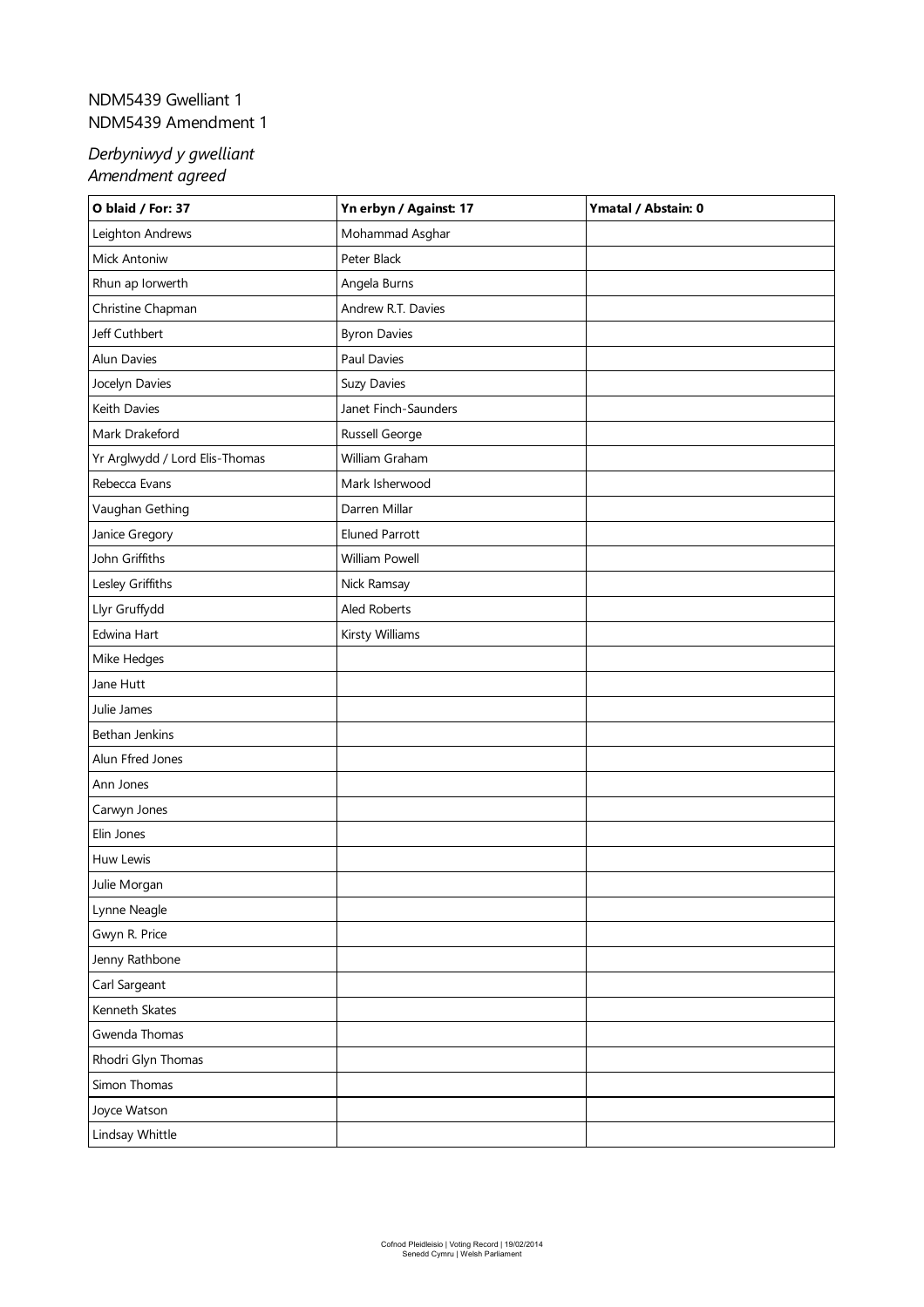# <span id="page-6-0"></span>NDM5439 Gwelliant 1 NDM5439 Amendment 1

| O blaid / For: 37              | Yn erbyn / Against: 17 | Ymatal / Abstain: 0 |
|--------------------------------|------------------------|---------------------|
| Leighton Andrews               | Mohammad Asghar        |                     |
| Mick Antoniw                   | Peter Black            |                     |
| Rhun ap Iorwerth               | Angela Burns           |                     |
| Christine Chapman              | Andrew R.T. Davies     |                     |
| Jeff Cuthbert                  | <b>Byron Davies</b>    |                     |
| Alun Davies                    | Paul Davies            |                     |
| Jocelyn Davies                 | Suzy Davies            |                     |
| Keith Davies                   | Janet Finch-Saunders   |                     |
| Mark Drakeford                 | Russell George         |                     |
| Yr Arglwydd / Lord Elis-Thomas | William Graham         |                     |
| Rebecca Evans                  | Mark Isherwood         |                     |
| Vaughan Gething                | Darren Millar          |                     |
| Janice Gregory                 | <b>Eluned Parrott</b>  |                     |
| John Griffiths                 | William Powell         |                     |
| Lesley Griffiths               | Nick Ramsay            |                     |
| Llyr Gruffydd                  | Aled Roberts           |                     |
| Edwina Hart                    | Kirsty Williams        |                     |
| Mike Hedges                    |                        |                     |
| Jane Hutt                      |                        |                     |
| Julie James                    |                        |                     |
| Bethan Jenkins                 |                        |                     |
| Alun Ffred Jones               |                        |                     |
| Ann Jones                      |                        |                     |
| Carwyn Jones                   |                        |                     |
| Elin Jones                     |                        |                     |
| Huw Lewis                      |                        |                     |
| Julie Morgan                   |                        |                     |
| Lynne Neagle                   |                        |                     |
| Gwyn R. Price                  |                        |                     |
| Jenny Rathbone                 |                        |                     |
| Carl Sargeant                  |                        |                     |
| Kenneth Skates                 |                        |                     |
| Gwenda Thomas                  |                        |                     |
| Rhodri Glyn Thomas             |                        |                     |
| Simon Thomas                   |                        |                     |
| Joyce Watson                   |                        |                     |
| Lindsay Whittle                |                        |                     |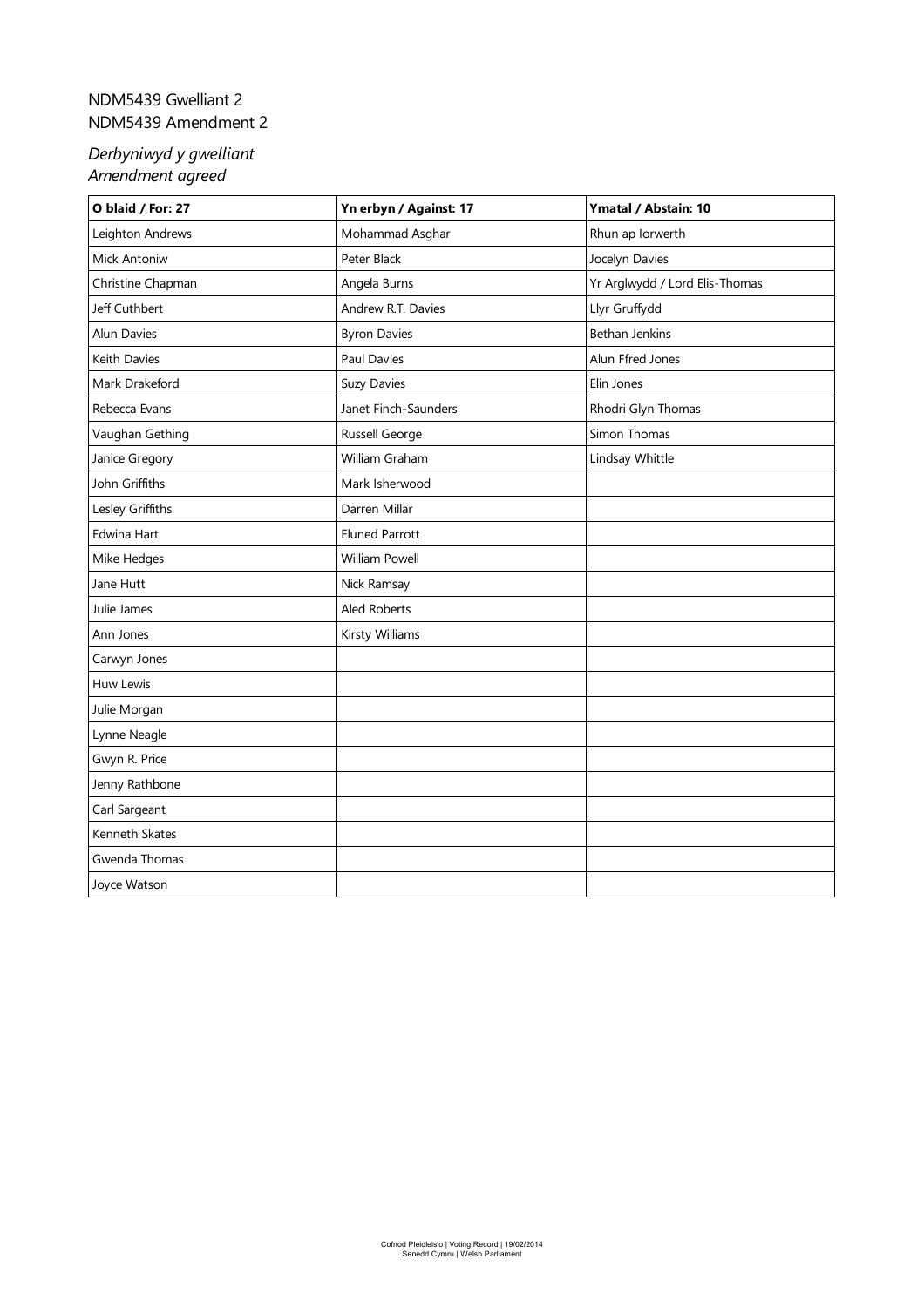## <span id="page-7-0"></span>NDM5439 Gwelliant 2 NDM5439 Amendment 2

| O blaid / For: 27   | Yn erbyn / Against: 17 | Ymatal / Abstain: 10           |
|---------------------|------------------------|--------------------------------|
| Leighton Andrews    | Mohammad Asghar        | Rhun ap Iorwerth               |
| <b>Mick Antoniw</b> | Peter Black            | Jocelyn Davies                 |
| Christine Chapman   | Angela Burns           | Yr Arglwydd / Lord Elis-Thomas |
| Jeff Cuthbert       | Andrew R.T. Davies     | Llyr Gruffydd                  |
| <b>Alun Davies</b>  | <b>Byron Davies</b>    | <b>Bethan Jenkins</b>          |
| Keith Davies        | Paul Davies            | Alun Ffred Jones               |
| Mark Drakeford      | Suzy Davies            | Elin Jones                     |
| Rebecca Evans       | Janet Finch-Saunders   | Rhodri Glyn Thomas             |
| Vaughan Gething     | Russell George         | Simon Thomas                   |
| Janice Gregory      | William Graham         | Lindsay Whittle                |
| John Griffiths      | Mark Isherwood         |                                |
| Lesley Griffiths    | Darren Millar          |                                |
| Edwina Hart         | <b>Eluned Parrott</b>  |                                |
| Mike Hedges         | <b>William Powell</b>  |                                |
| Jane Hutt           | Nick Ramsay            |                                |
| Julie James         | Aled Roberts           |                                |
| Ann Jones           | Kirsty Williams        |                                |
| Carwyn Jones        |                        |                                |
| Huw Lewis           |                        |                                |
| Julie Morgan        |                        |                                |
| Lynne Neagle        |                        |                                |
| Gwyn R. Price       |                        |                                |
| Jenny Rathbone      |                        |                                |
| Carl Sargeant       |                        |                                |
| Kenneth Skates      |                        |                                |
| Gwenda Thomas       |                        |                                |
| Joyce Watson        |                        |                                |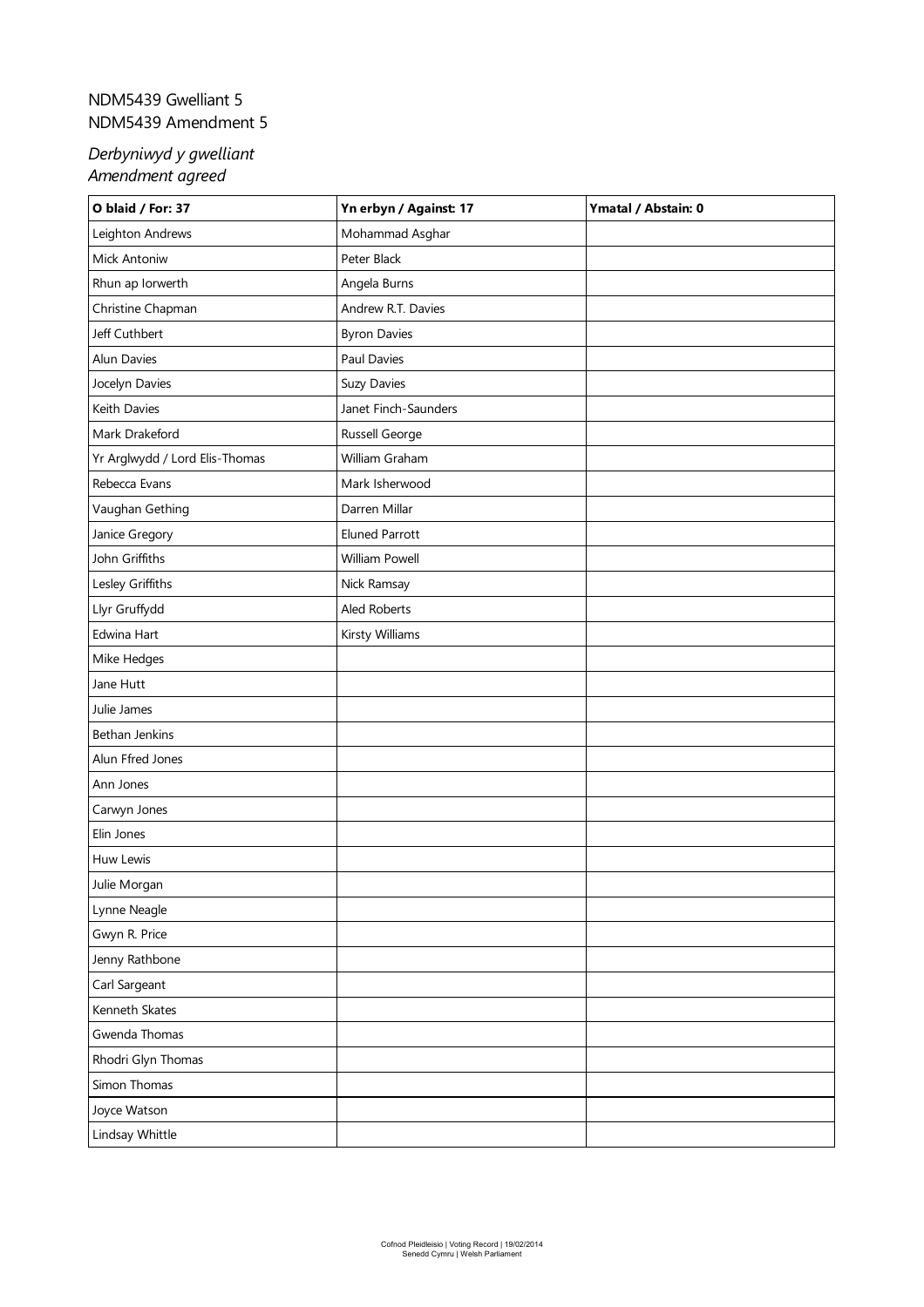## <span id="page-8-0"></span>NDM5439 Gwelliant 5 NDM5439 Amendment 5

| O blaid / For: 37              | Yn erbyn / Against: 17 | Ymatal / Abstain: 0 |
|--------------------------------|------------------------|---------------------|
| Leighton Andrews               | Mohammad Asghar        |                     |
| Mick Antoniw                   | Peter Black            |                     |
| Rhun ap Iorwerth               | Angela Burns           |                     |
| Christine Chapman              | Andrew R.T. Davies     |                     |
| Jeff Cuthbert                  | <b>Byron Davies</b>    |                     |
| Alun Davies                    | Paul Davies            |                     |
| Jocelyn Davies                 | Suzy Davies            |                     |
| Keith Davies                   | Janet Finch-Saunders   |                     |
| Mark Drakeford                 | Russell George         |                     |
| Yr Arglwydd / Lord Elis-Thomas | William Graham         |                     |
| Rebecca Evans                  | Mark Isherwood         |                     |
| Vaughan Gething                | Darren Millar          |                     |
| Janice Gregory                 | <b>Eluned Parrott</b>  |                     |
| John Griffiths                 | William Powell         |                     |
| Lesley Griffiths               | Nick Ramsay            |                     |
| Llyr Gruffydd                  | Aled Roberts           |                     |
| Edwina Hart                    | Kirsty Williams        |                     |
| Mike Hedges                    |                        |                     |
| Jane Hutt                      |                        |                     |
| Julie James                    |                        |                     |
| Bethan Jenkins                 |                        |                     |
| Alun Ffred Jones               |                        |                     |
| Ann Jones                      |                        |                     |
| Carwyn Jones                   |                        |                     |
| Elin Jones                     |                        |                     |
| Huw Lewis                      |                        |                     |
| Julie Morgan                   |                        |                     |
| Lynne Neagle                   |                        |                     |
| Gwyn R. Price                  |                        |                     |
| Jenny Rathbone                 |                        |                     |
| Carl Sargeant                  |                        |                     |
| Kenneth Skates                 |                        |                     |
| Gwenda Thomas                  |                        |                     |
| Rhodri Glyn Thomas             |                        |                     |
| Simon Thomas                   |                        |                     |
| Joyce Watson                   |                        |                     |
| Lindsay Whittle                |                        |                     |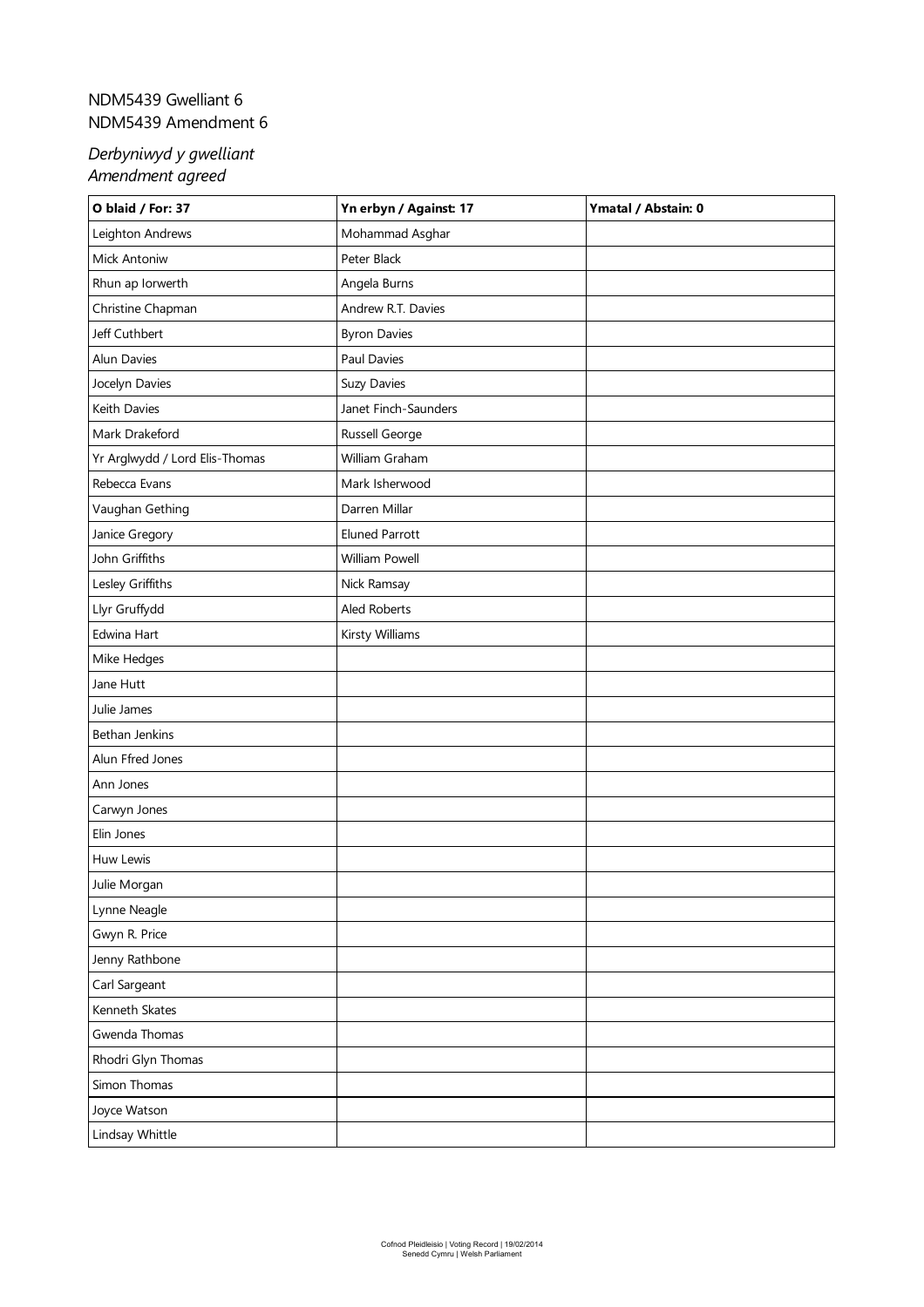## <span id="page-9-0"></span>NDM5439 Gwelliant 6 NDM5439 Amendment 6

| O blaid / For: 37              | Yn erbyn / Against: 17 | Ymatal / Abstain: 0 |
|--------------------------------|------------------------|---------------------|
| Leighton Andrews               | Mohammad Asghar        |                     |
| Mick Antoniw                   | Peter Black            |                     |
| Rhun ap Iorwerth               | Angela Burns           |                     |
| Christine Chapman              | Andrew R.T. Davies     |                     |
| Jeff Cuthbert                  | <b>Byron Davies</b>    |                     |
| Alun Davies                    | Paul Davies            |                     |
| Jocelyn Davies                 | Suzy Davies            |                     |
| Keith Davies                   | Janet Finch-Saunders   |                     |
| Mark Drakeford                 | Russell George         |                     |
| Yr Arglwydd / Lord Elis-Thomas | William Graham         |                     |
| Rebecca Evans                  | Mark Isherwood         |                     |
| Vaughan Gething                | Darren Millar          |                     |
| Janice Gregory                 | <b>Eluned Parrott</b>  |                     |
| John Griffiths                 | William Powell         |                     |
| Lesley Griffiths               | Nick Ramsay            |                     |
| Llyr Gruffydd                  | Aled Roberts           |                     |
| Edwina Hart                    | Kirsty Williams        |                     |
| Mike Hedges                    |                        |                     |
| Jane Hutt                      |                        |                     |
| Julie James                    |                        |                     |
| Bethan Jenkins                 |                        |                     |
| Alun Ffred Jones               |                        |                     |
| Ann Jones                      |                        |                     |
| Carwyn Jones                   |                        |                     |
| Elin Jones                     |                        |                     |
| Huw Lewis                      |                        |                     |
| Julie Morgan                   |                        |                     |
| Lynne Neagle                   |                        |                     |
| Gwyn R. Price                  |                        |                     |
| Jenny Rathbone                 |                        |                     |
| Carl Sargeant                  |                        |                     |
| Kenneth Skates                 |                        |                     |
| Gwenda Thomas                  |                        |                     |
| Rhodri Glyn Thomas             |                        |                     |
| Simon Thomas                   |                        |                     |
| Joyce Watson                   |                        |                     |
| Lindsay Whittle                |                        |                     |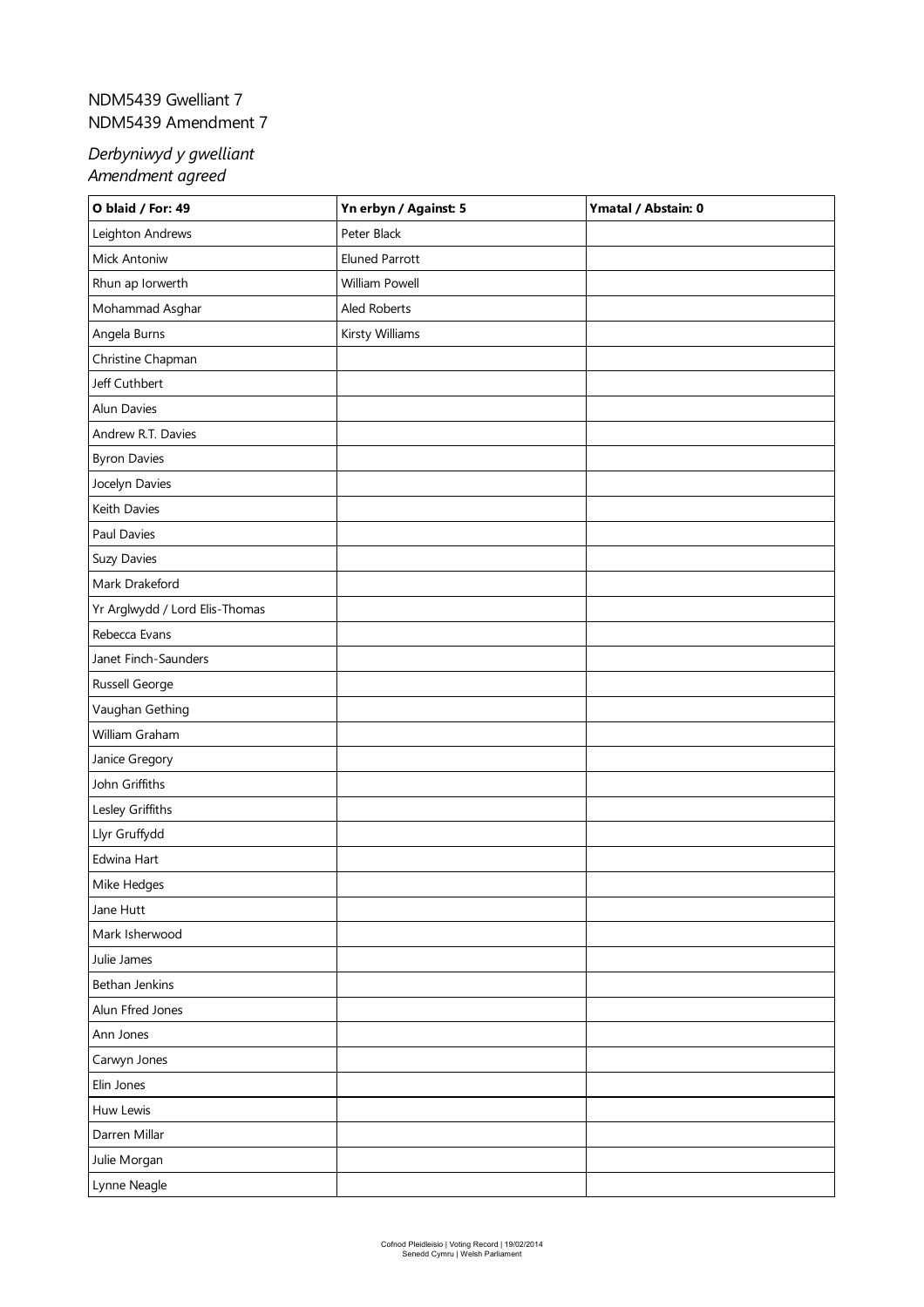# <span id="page-10-0"></span>NDM5439 Gwelliant 7 NDM5439 Amendment 7

| O blaid / For: 49              | Yn erbyn / Against: 5 | Ymatal / Abstain: 0 |
|--------------------------------|-----------------------|---------------------|
| Leighton Andrews               | Peter Black           |                     |
| Mick Antoniw                   | <b>Eluned Parrott</b> |                     |
| Rhun ap Iorwerth               | William Powell        |                     |
| Mohammad Asghar                | Aled Roberts          |                     |
| Angela Burns                   | Kirsty Williams       |                     |
| Christine Chapman              |                       |                     |
| Jeff Cuthbert                  |                       |                     |
| Alun Davies                    |                       |                     |
| Andrew R.T. Davies             |                       |                     |
| <b>Byron Davies</b>            |                       |                     |
| Jocelyn Davies                 |                       |                     |
| Keith Davies                   |                       |                     |
| Paul Davies                    |                       |                     |
| Suzy Davies                    |                       |                     |
| Mark Drakeford                 |                       |                     |
| Yr Arglwydd / Lord Elis-Thomas |                       |                     |
| Rebecca Evans                  |                       |                     |
| Janet Finch-Saunders           |                       |                     |
| Russell George                 |                       |                     |
| Vaughan Gething                |                       |                     |
| William Graham                 |                       |                     |
| Janice Gregory                 |                       |                     |
| John Griffiths                 |                       |                     |
| Lesley Griffiths               |                       |                     |
| Llyr Gruffydd                  |                       |                     |
| Edwina Hart                    |                       |                     |
| Mike Hedges                    |                       |                     |
| Jane Hutt                      |                       |                     |
| Mark Isherwood                 |                       |                     |
| Julie James                    |                       |                     |
| Bethan Jenkins                 |                       |                     |
| Alun Ffred Jones               |                       |                     |
| Ann Jones                      |                       |                     |
| Carwyn Jones                   |                       |                     |
| Elin Jones                     |                       |                     |
| Huw Lewis                      |                       |                     |
| Darren Millar                  |                       |                     |
| Julie Morgan                   |                       |                     |
| Lynne Neagle                   |                       |                     |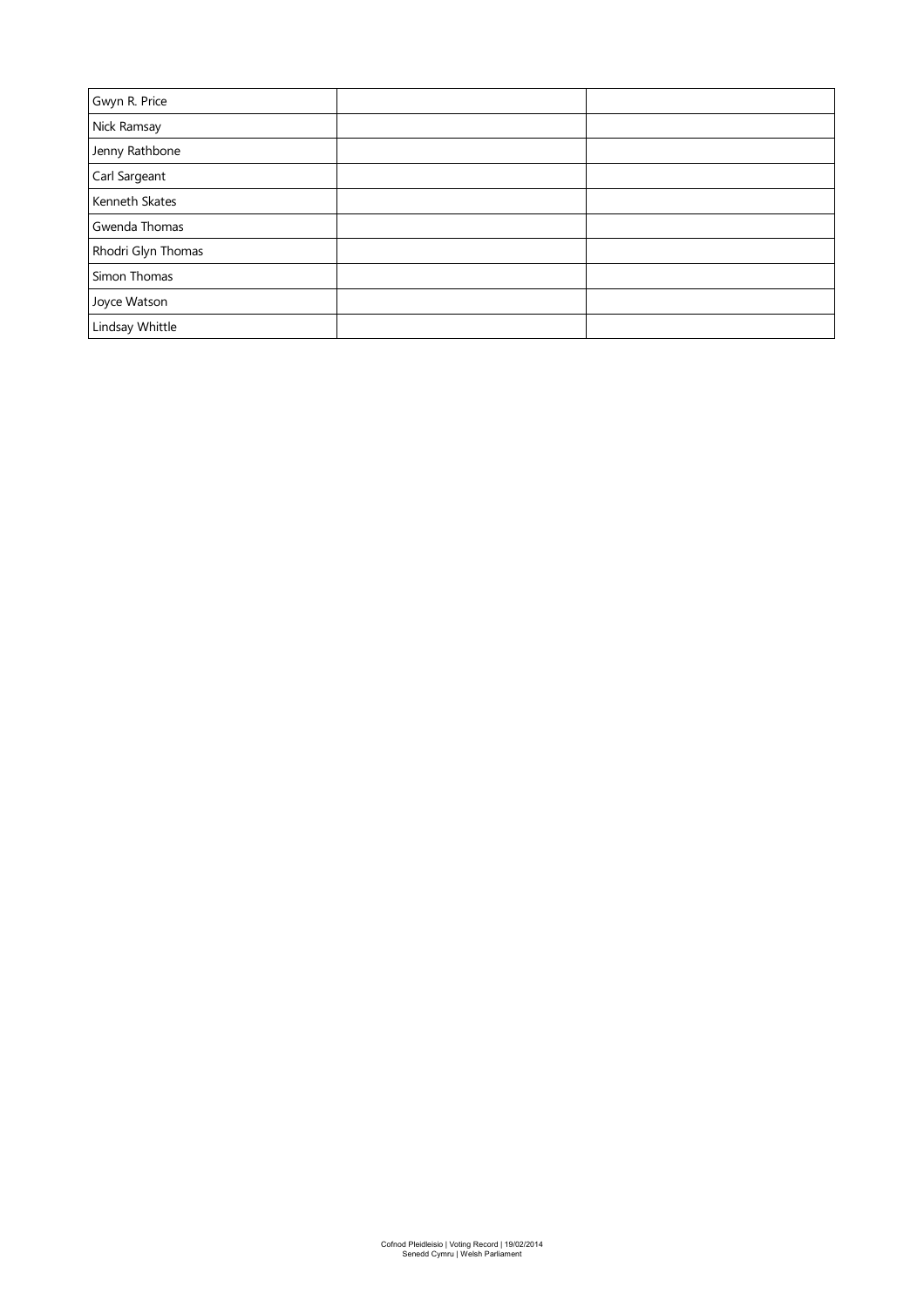| Gwyn R. Price      |  |
|--------------------|--|
| Nick Ramsay        |  |
| Jenny Rathbone     |  |
| Carl Sargeant      |  |
| Kenneth Skates     |  |
| Gwenda Thomas      |  |
| Rhodri Glyn Thomas |  |
| Simon Thomas       |  |
| Joyce Watson       |  |
| Lindsay Whittle    |  |